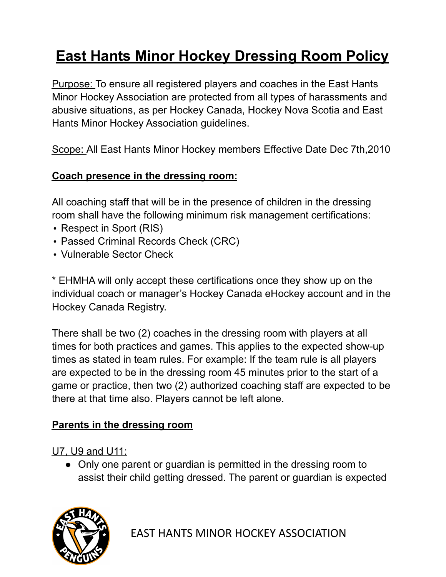# **East Hants Minor Hockey Dressing Room Policy**

Purpose: To ensure all registered players and coaches in the East Hants Minor Hockey Association are protected from all types of harassments and abusive situations, as per Hockey Canada, Hockey Nova Scotia and East Hants Minor Hockey Association guidelines.

Scope: All East Hants Minor Hockey members Effective Date Dec 7th,2010

### **Coach presence in the dressing room:**

All coaching staff that will be in the presence of children in the dressing room shall have the following minimum risk management certifications:

- Respect in Sport (RIS)
- Passed Criminal Records Check (CRC)
- Vulnerable Sector Check

\* EHMHA will only accept these certifications once they show up on the individual coach or manager's Hockey Canada eHockey account and in the Hockey Canada Registry.

There shall be two (2) coaches in the dressing room with players at all times for both practices and games. This applies to the expected show-up times as stated in team rules. For example: If the team rule is all players are expected to be in the dressing room 45 minutes prior to the start of a game or practice, then two (2) authorized coaching staff are expected to be there at that time also. Players cannot be left alone.

### **Parents in the dressing room**

U7, U9 and U11:

● Only one parent or guardian is permitted in the dressing room to assist their child getting dressed. The parent or guardian is expected

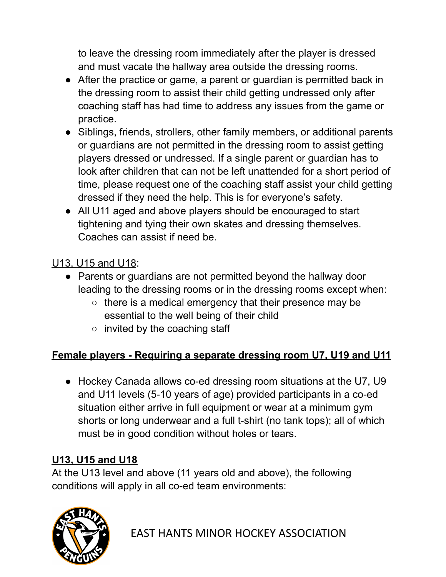to leave the dressing room immediately after the player is dressed and must vacate the hallway area outside the dressing rooms.

- After the practice or game, a parent or guardian is permitted back in the dressing room to assist their child getting undressed only after coaching staff has had time to address any issues from the game or practice.
- Siblings, friends, strollers, other family members, or additional parents or guardians are not permitted in the dressing room to assist getting players dressed or undressed. If a single parent or guardian has to look after children that can not be left unattended for a short period of time, please request one of the coaching staff assist your child getting dressed if they need the help. This is for everyone's safety.
- All U11 aged and above players should be encouraged to start tightening and tying their own skates and dressing themselves. Coaches can assist if need be.

### U13, U15 and U18:

- Parents or guardians are not permitted beyond the hallway door leading to the dressing rooms or in the dressing rooms except when:
	- there is a medical emergency that their presence may be essential to the well being of their child
	- $\circ$  invited by the coaching staff

## **Female players - Requiring a separate dressing room U7, U19 and U11**

• Hockey Canada allows co-ed dressing room situations at the U7, U9 and U11 levels (5-10 years of age) provided participants in a co-ed situation either arrive in full equipment or wear at a minimum gym shorts or long underwear and a full t-shirt (no tank tops); all of which must be in good condition without holes or tears.

### **U13, U15 and U18**

At the U13 level and above (11 years old and above), the following conditions will apply in all co-ed team environments:



EAST HANTS MINOR HOCKEY ASSOCIATION